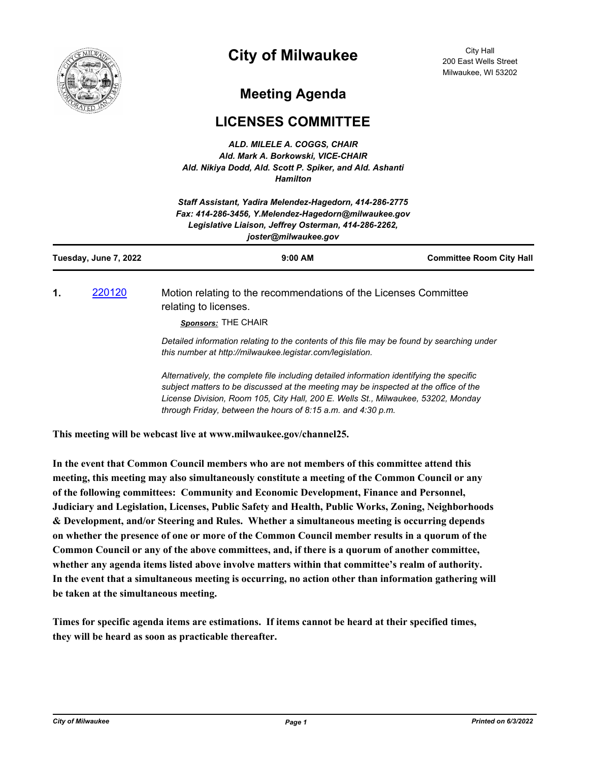

## **City of Milwaukee**

City Hall 200 East Wells Street Milwaukee, WI 53202

## **Meeting Agenda**

## **LICENSES COMMITTEE**

*ALD. MILELE A. COGGS, CHAIR Ald. Mark A. Borkowski, VICE-CHAIR Ald. Nikiya Dodd, Ald. Scott P. Spiker, and Ald. Ashanti Hamilton*

| Staff Assistant, Yadira Melendez-Hagedorn, 414-286-2775<br>Fax: 414-286-3456, Y.Melendez-Hagedorn@milwaukee.gov<br>Legislative Liaison, Jeffrey Osterman, 414-286-2262,<br>joster@milwaukee.gov |        |                                                                                                                                                                                                                                                                       |                                 |
|-------------------------------------------------------------------------------------------------------------------------------------------------------------------------------------------------|--------|-----------------------------------------------------------------------------------------------------------------------------------------------------------------------------------------------------------------------------------------------------------------------|---------------------------------|
| Tuesday, June 7, 2022                                                                                                                                                                           |        | $9:00$ AM                                                                                                                                                                                                                                                             | <b>Committee Room City Hall</b> |
| 1.                                                                                                                                                                                              | 220120 | Motion relating to the recommendations of the Licenses Committee<br>relating to licenses.<br>Sponsors: THE CHAIR                                                                                                                                                      |                                 |
|                                                                                                                                                                                                 |        | Detailed information relating to the contents of this file may be found by searching under<br>this number at http://milwaukee.legistar.com/legislation.                                                                                                               |                                 |
|                                                                                                                                                                                                 |        | Alternatively, the complete file including detailed information identifying the specific<br>subject matters to be discussed at the meeting may be inspected at the office of the<br>License Division, Room 105, City Hall, 200 E. Wells St., Milwaukee, 53202, Monday |                                 |

**This meeting will be webcast live at www.milwaukee.gov/channel25.**

**In the event that Common Council members who are not members of this committee attend this meeting, this meeting may also simultaneously constitute a meeting of the Common Council or any of the following committees: Community and Economic Development, Finance and Personnel, Judiciary and Legislation, Licenses, Public Safety and Health, Public Works, Zoning, Neighborhoods & Development, and/or Steering and Rules. Whether a simultaneous meeting is occurring depends on whether the presence of one or more of the Common Council member results in a quorum of the Common Council or any of the above committees, and, if there is a quorum of another committee, whether any agenda items listed above involve matters within that committee's realm of authority. In the event that a simultaneous meeting is occurring, no action other than information gathering will be taken at the simultaneous meeting.**

*through Friday, between the hours of 8:15 a.m. and 4:30 p.m.*

**Times for specific agenda items are estimations. If items cannot be heard at their specified times, they will be heard as soon as practicable thereafter.**